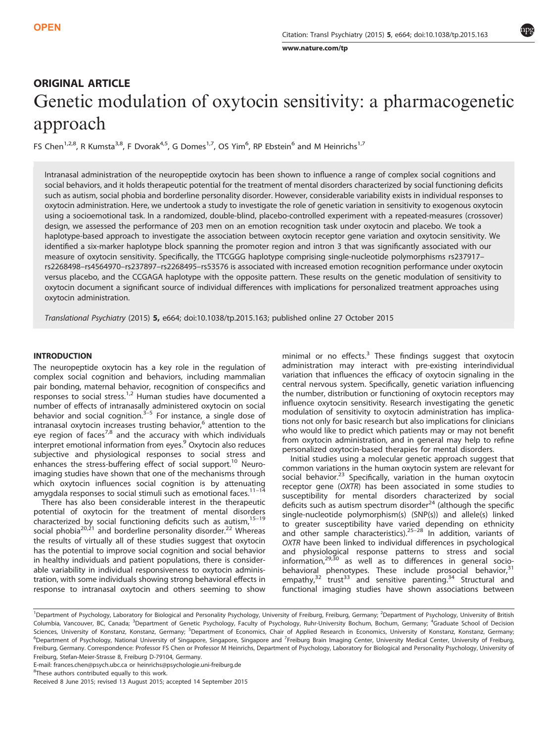[www.nature.com/tp](http://www.nature.com/tp)

# ORIGINAL ARTICLE Genetic modulation of oxytocin sensitivity: a pharmacogenetic approach

FS Chen<sup>1,2,8</sup>, R Kumsta<sup>3,8</sup>, F Dvorak<sup>4,5</sup>, G Domes<sup>1,7</sup>, OS Yim<sup>6</sup>, RP Ebstein<sup>6</sup> and M Heinrichs<sup>1,7</sup>

Intranasal administration of the neuropeptide oxytocin has been shown to influence a range of complex social cognitions and social behaviors, and it holds therapeutic potential for the treatment of mental disorders characterized by social functioning deficits such as autism, social phobia and borderline personality disorder. However, considerable variability exists in individual responses to oxytocin administration. Here, we undertook a study to investigate the role of genetic variation in sensitivity to exogenous oxytocin using a socioemotional task. In a randomized, double-blind, placebo-controlled experiment with a repeated-measures (crossover) design, we assessed the performance of 203 men on an emotion recognition task under oxytocin and placebo. We took a haplotype-based approach to investigate the association between oxytocin receptor gene variation and oxytocin sensitivity. We identified a six-marker haplotype block spanning the promoter region and intron 3 that was significantly associated with our measure of oxytocin sensitivity. Specifically, the TTCGGG haplotype comprising single-nucleotide polymorphisms rs237917– rs2268498–rs4564970–rs237897–rs2268495–rs53576 is associated with increased emotion recognition performance under oxytocin versus placebo, and the CCGAGA haplotype with the opposite pattern. These results on the genetic modulation of sensitivity to oxytocin document a significant source of individual differences with implications for personalized treatment approaches using oxytocin administration.

Translational Psychiatry (2015) 5, e664; doi:10.1038/tp.2015.163; published online 27 October 2015

# INTRODUCTION

The neuropeptide oxytocin has a key role in the regulation of complex social cognition and behaviors, including mammalian pair bonding, maternal behavior, recognition of conspecifics and responses to social stress.<sup>[1,2](#page-5-0)</sup> Human studies have documented a number of effects of intranasally administered oxytocin on social behavior and social cognition.<sup>[3](#page-5-0)–5</sup> For instance, a single dose of intranasal oxytocin increases trusting behavior, $<sup>6</sup>$  $<sup>6</sup>$  $<sup>6</sup>$  attention to the</sup> eye region of faces<sup>7,8</sup> and the accuracy with which individuals interpret emotional information from eyes.[9](#page-5-0) Oxytocin also reduces subjective and physiological responses to social stress and enhances the stress-buffering effect of social support.<sup>[10](#page-5-0)</sup> Neuroimaging studies have shown that one of the mechanisms through which oxytocin influences social cognition is by attenuating amygdala responses to social stimuli such as emotional faces.<sup>[11](#page-5-0)-14</sup>

There has also been considerable interest in the therapeutic potential of oxytocin for the treatment of mental disorders characterized by social functioning deficits such as autism,<sup>15-[19](#page-5-0)</sup> social phobia<sup>[20,21](#page-5-0)</sup> and borderline personality disorder.<sup>[22](#page-5-0)</sup> Whereas the results of virtually all of these studies suggest that oxytocin has the potential to improve social cognition and social behavior in healthy individuals and patient populations, there is considerable variability in individual responsiveness to oxytocin administration, with some individuals showing strong behavioral effects in response to intranasal oxytocin and others seeming to show minimal or no effects. $3$  These findings suggest that oxytocin administration may interact with pre-existing interindividual variation that influences the efficacy of oxytocin signaling in the central nervous system. Specifically, genetic variation influencing the number, distribution or functioning of oxytocin receptors may influence oxytocin sensitivity. Research investigating the genetic modulation of sensitivity to oxytocin administration has implications not only for basic research but also implications for clinicians who would like to predict which patients may or may not benefit from oxytocin administration, and in general may help to refine personalized oxytocin-based therapies for mental disorders.

Initial studies using a molecular genetic approach suggest that common variations in the human oxytocin system are relevant for social behavior. $^{23}$  $^{23}$  $^{23}$  Specifically, variation in the human oxytocin receptor gene (OXTR) has been associated in some studies to susceptibility for mental disorders characterized by social deficits such as autism spectrum disorder $^{24}$  $^{24}$  $^{24}$  (although the specific single-nucleotide polymorphism(s) (SNP(s)) and allele(s) linked to greater susceptibility have varied depending on ethnicity<br>and other sample characteristics).<sup>25–[28](#page-5-0)</sup> In addition, variants of OXTR have been linked to individual differences in psychological and physiological response patterns to stress and social information, $29,30$  $29,30$  $29,30$  as well as to differences in general socio-behavioral phenotypes. These include prosocial behavior,<sup>[31](#page-5-0)</sup>  $empathy<sup>32</sup>$  $empathy<sup>32</sup>$  $empathy<sup>32</sup>$  trust<sup>[33](#page-5-0)</sup> and sensitive parenting.<sup>[34](#page-6-0)</sup> Structural and functional imaging studies have shown associations between

E-mail: [frances.chen@psych.ubc.ca](mailto:frances.chen@psych.ubc.�ca) or [heinrichs@psychologie.uni-freiburg.de](mailto:heinrichs@psychologie.uni-freiburg.de)

<sup>8</sup>These authors contributed equally to this work.

<sup>&</sup>lt;sup>1</sup>Department of Psychology, Laboratory for Biological and Personality Psychology, University of Freiburg, Freiburg, Germany; <sup>2</sup>Department of Psychology, University of British Columbia, Vancouver, BC, Canada; <sup>3</sup>Department of Genetic Psychology, Faculty of Psychology, Ruhr-University Bochum, Bochum, Germany; <sup>4</sup>Graduate School of Decision Sciences, University of Konstanz, Konstanz, Germany; <sup>5</sup>Department of Economics, Chair of Applied Research in Economics, University of Konstanz, Konstanz, Germany; <sup>6</sup>Department of Psychology, National University of Singapore, Singapore and <sup>7</sup>Freiburg Brain Imaging Center, University Medical Center, University of Freiburg, Freiburg, Germany. Correspondence: Professor FS Chen or Professor M Heinrichs, Department of Psychology, Laboratory for Biological and Personality Psychology, University of Freiburg, Stefan-Meier-Strasse 8, Freiburg D-79104, Germany.

Received 8 June 2015; revised 13 August 2015; accepted 14 September 2015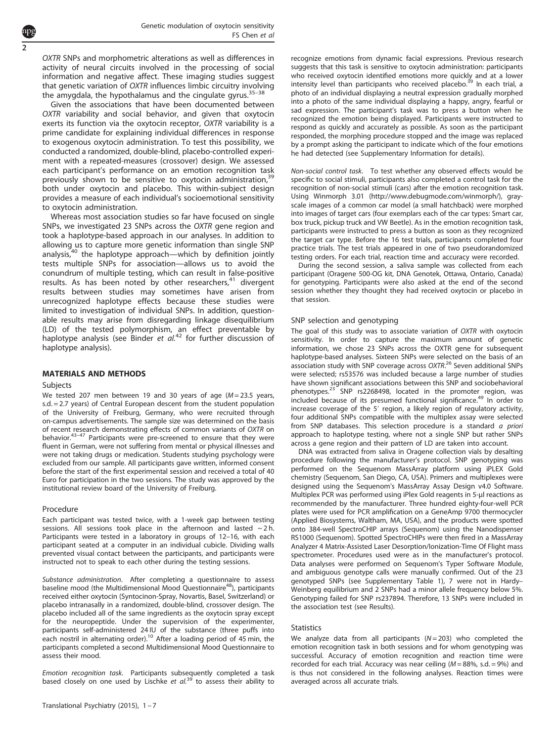OXTR SNPs and morphometric alterations as well as differences in activity of neural circuits involved in the processing of social information and negative affect. These imaging studies suggest that genetic variation of OXTR influences limbic circuitry involving the amygdala, the hypothalamus and the cingulate gyrus. $35-38$  $35-38$ 

Given the associations that have been documented between OXTR variability and social behavior, and given that oxytocin exerts its function via the oxytocin receptor, OXTR variability is a prime candidate for explaining individual differences in response to exogenous oxytocin administration. To test this possibility, we conducted a randomized, double-blind, placebo-controlled experiment with a repeated-measures (crossover) design. We assessed each participant's performance on an emotion recognition task previously shown to be sensitive to oxytocin administration,<sup>[39](#page-6-0)</sup> both under oxytocin and placebo. This within-subject design provides a measure of each individual's socioemotional sensitivity to oxytocin administration.

Whereas most association studies so far have focused on single SNPs, we investigated 23 SNPs across the OXTR gene region and took a haplotype-based approach in our analyses. In addition to allowing us to capture more genetic information than single SNP analysis,<sup>40</sup> the haplotype approach—which by definition jointly tests multiple SNPs for association—allows us to avoid the conundrum of multiple testing, which can result in false-positive results. As has been noted by other researchers, $41$  divergent results between studies may sometimes have arisen from unrecognized haplotype effects because these studies were limited to investigation of individual SNPs. In addition, questionable results may arise from disregarding linkage disequilibrium (LD) of the tested polymorphism, an effect preventable by haplotype analysis (see Binder et  $al^{42}$  $al^{42}$  $al^{42}$  for further discussion of haplotype analysis).

# MATERIALS AND METHODS

#### Subjects

2

We tested 207 men between 19 and 30 years of age  $(M = 23.5$  years, s.d. = 2.7 years) of Central European descent from the student population of the University of Freiburg, Germany, who were recruited through on-campus advertisements. The sample size was determined on the basis of recent [rese](#page-6-0)arch demonstrating effects of common variants of OXTR on behavior.<sup>43–47</sup> Participants were pre-screened to ensure that they were fluent in German, were not suffering from mental or physical illnesses and were not taking drugs or medication. Students studying psychology were excluded from our sample. All participants gave written, informed consent before the start of the first experimental session and received a total of 40 Euro for participation in the two sessions. The study was approved by the institutional review board of the University of Freiburg.

## Procedure

Each participant was tested twice, with a 1-week gap between testing sessions. All sessions took place in the afternoon and lasted  $\sim$  2 h. Participants were tested in a laboratory in groups of 12–16, with each participant seated at a computer in an individual cubicle. Dividing walls prevented visual contact between the participants, and participants were instructed not to speak to each other during the testing sessions.

Substance administration. After completing a questionnaire to assess baseline mood (the Multidimensional Mood Questionnaire<sup>[48](#page-6-0)</sup>), participants received either oxytocin (Syntocinon-Spray, Novartis, Basel, Switzerland) or placebo intranasally in a randomized, double-blind, crossover design. The placebo included all of the same ingredients as the oxytocin spray except for the neuropeptide. Under the supervision of the experimenter, participants self-administered 24 IU of the substance (three puffs into each nostril in alternating order).<sup>[10](#page-5-0)</sup> After a loading period of 45 min, the participants completed a second Multidimensional Mood Questionnaire to assess their mood.

Emotion recognition task. Participants subsequently completed a task based closely on one used by Lischke et  $al^{39}$  $al^{39}$  $al^{39}$  to assess their ability to recognize emotions from dynamic facial expressions. Previous research suggests that this task is sensitive to oxytocin administration: participants who received oxytocin identified emotions more quickly and at a lower intensity level than participants who received placebo.<sup>39</sup> In each trial, a photo of an individual displaying a neutral expression gradually morphed into a photo of the same individual displaying a happy, angry, fearful or sad expression. The participant's task was to press a button when he recognized the emotion being displayed. Participants were instructed to respond as quickly and accurately as possible. As soon as the participant responded, the morphing procedure stopped and the image was replaced by a prompt asking the participant to indicate which of the four emotions he had detected (see Supplementary Information for details).

Non-social control task. To test whether any observed effects would be specific to social stimuli, participants also completed a control task for the recognition of non-social stimuli (cars) after the emotion recognition task. Using Winmorph 3.01 (http://www.debugmode.com/winmorph/), grayscale images of a common car model (a small hatchback) were morphed into images of target cars (four exemplars each of the car types: Smart car, box truck, pickup truck and VW Beetle). As in the emotion recognition task, participants were instructed to press a button as soon as they recognized the target car type. Before the 16 test trials, participants completed four practice trials. The test trials appeared in one of two pseudorandomized testing orders. For each trial, reaction time and accuracy were recorded.

During the second session, a saliva sample was collected from each participant (Oragene 500-OG kit, DNA Genotek, Ottawa, Ontario, Canada) for genotyping. Participants were also asked at the end of the second session whether they thought they had received oxytocin or placebo in that session.

### SNP selection and genotyping

The goal of this study was to associate variation of OXTR with oxytocin sensitivity. In order to capture the maximum amount of genetic information, we chose 23 SNPs across the OXTR gene for subsequent haplotype-based analyses. Sixteen SNPs were selected on the basis of an association study with SNP coverage across OXTR.<sup>[26](#page-5-0)</sup> Seven additional SNPs were selected; rs53576 was included because a large number of studies have shown significant associations between this SNP and sociobehavioral phenotypes.<sup>23</sup> SNP rs2268498, located in the promoter region, was included because of its presumed functional significance.<sup>49</sup> In order to increase coverage of the 5′ region, a likely region of regulatory activity, four additional SNPs compatible with the multiplex assay were selected from SNP databases. This selection procedure is a standard a priori approach to haplotype testing, where not a single SNP but rather SNPs across a gene region and their pattern of LD are taken into account.

DNA was extracted from saliva in Oragene collection vials by desalting procedure following the manufacturer's protocol. SNP genotyping was performed on the Sequenom MassArray platform using iPLEX Gold chemistry (Sequenom, San Diego, CA, USA). Primers and multiplexes were designed using the Sequenom's MassArray Assay Design v4.0 Software. Multiplex PCR was performed using iPlex Gold reagents in 5-μl reactions as recommended by the manufacturer. Three hundred eighty-four-well PCR plates were used for PCR amplification on a GeneAmp 9700 thermocycler (Applied Biosystems, Waltham, MA, USA), and the products were spotted onto 384-well SpectroCHIP arrays (Sequenom) using the Nanodispenser RS1000 (Sequenom). Spotted SpectroCHIPs were then fired in a MassArray Analyzer 4 Matrix-Assisted Laser Desorption/Ionization-Time Of Flight mass spectrometer. Procedures used were as in the manufacturer's protocol. Data analyses were performed on Sequenom's Typer Software Module, and ambiguous genotype calls were manually confirmed. Out of the 23 genotyped SNPs (see Supplementary Table 1), 7 were not in Hardy– Weinberg equilibrium and 2 SNPs had a minor allele frequency below 5%. Genotyping failed for SNP rs237894. Therefore, 13 SNPs were included in the association test (see Results).

#### **Statistics**

We analyze data from all participants  $(N = 203)$  who completed the emotion recognition task in both sessions and for whom genotyping was successful. Accuracy of emotion recognition and reaction time were recorded for each trial. Accuracy was near ceiling  $(M = 88\% , s.d. = 9\%)$  and is thus not considered in the following analyses. Reaction times were averaged across all accurate trials.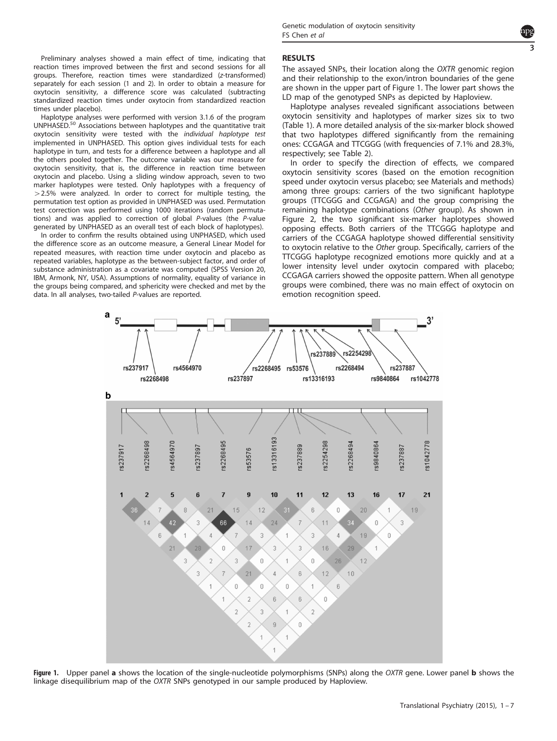Preliminary analyses showed a main effect of time, indicating that reaction times improved between the first and second sessions for all groups. Therefore, reaction times were standardized (z-transformed) separately for each session (1 and 2). In order to obtain a measure for oxytocin sensitivity, a difference score was calculated (subtracting standardized reaction times under oxytocin from standardized reaction times under placebo).

Haplotype analyses were performed with version 3.1.6 of the program UNPHASED.[50](#page-6-0) Associations between haplotypes and the quantitative trait oxytocin sensitivity were tested with the individual haplotype test implemented in UNPHASED. This option gives individual tests for each haplotype in turn, and tests for a difference between a haplotype and all the others pooled together. The outcome variable was our measure for oxytocin sensitivity, that is, the difference in reaction time between oxytocin and placebo. Using a sliding window approach, seven to two marker haplotypes were tested. Only haplotypes with a frequency of  $>$  2.5% were analyzed. In order to correct for multiple testing, the permutation test option as provided in UNPHASED was used. Permutation test correction was performed using 1000 iterations (random permutations) and was applied to correction of global P-values (the P-value generated by UNPHASED as an overall test of each block of haplotypes).

In order to confirm the results obtained using UNPHASED, which used the difference score as an outcome measure, a General Linear Model for repeated measures, with reaction time under oxytocin and placebo as repeated variables, haplotype as the between-subject factor, and order of substance administration as a covariate was computed (SPSS Version 20, IBM, Armonk, NY, USA). Assumptions of normality, equality of variance in the groups being compared, and sphericity were checked and met by the data. In all analyses, two-tailed P-values are reported.

> a  $5^{\circ}$

## **RESULTS**

rs237889

rs2254298

The assayed SNPs, their location along the OXTR genomic region and their relationship to the exon/intron boundaries of the gene are shown in the upper part of Figure 1. The lower part shows the LD map of the genotyped SNPs as depicted by Haploview.

Haplotype analyses revealed significant associations between oxytocin sensitivity and haplotypes of marker sizes six to two [\(Table 1\)](#page-3-0). A more detailed analysis of the six-marker block showed that two haplotypes differed significantly from the remaining ones: CCGAGA and TTCGGG (with frequencies of 7.1% and 28.3%, respectively; see [Table 2](#page-3-0)).

In order to specify the direction of effects, we compared oxytocin sensitivity scores (based on the emotion recognition speed under oxytocin versus placebo; see Materials and methods) among three groups: carriers of the two significant haplotype groups (TTCGGG and CCGAGA) and the group comprising the remaining haplotype combinations (Other group). As shown in [Figure 2](#page-3-0), the two significant six-marker haplotypes showed opposing effects. Both carriers of the TTCGGG haplotype and carriers of the CCGAGA haplotype showed differential sensitivity to oxytocin relative to the Other group. Specifically, carriers of the TTCGGG haplotype recognized emotions more quickly and at a lower intensity level under oxytocin compared with placebo; CCGAGA carriers showed the opposite pattern. When all genotype groups were combined, there was no main effect of oxytocin on emotion recognition speed.

 $3'$ 





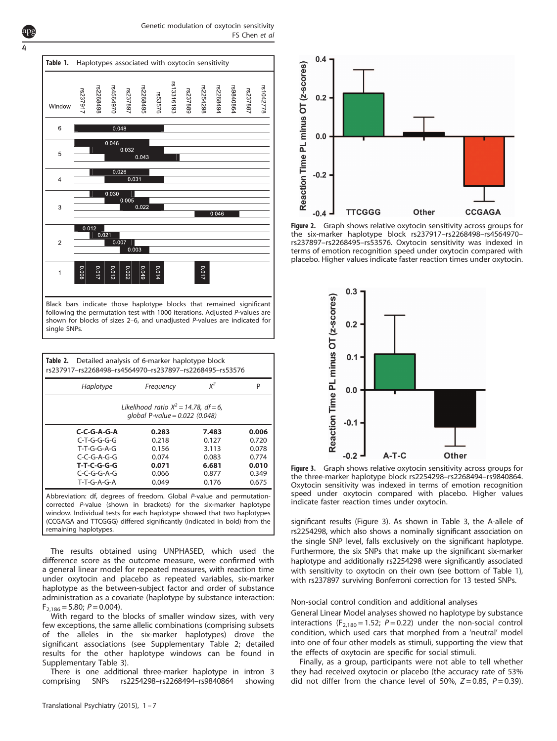Genetic modulation of oxytocin sensitivity FS Chen et al



| Detailed analysis of 6-marker haplotype block<br>Table 2.<br>rs237917-rs2268498-rs4564970-rs237897-rs2268495-rs53576                                                                                                                                                                                                      |           |       |       |  |  |
|---------------------------------------------------------------------------------------------------------------------------------------------------------------------------------------------------------------------------------------------------------------------------------------------------------------------------|-----------|-------|-------|--|--|
| Haplotype                                                                                                                                                                                                                                                                                                                 | Frequency | $X^2$ | P     |  |  |
| Likelihood ratio $X^2 = 14.78$ , df = 6,<br>global P-value = $0.022$ (0.048)                                                                                                                                                                                                                                              |           |       |       |  |  |
| C-C-G-A-G-A                                                                                                                                                                                                                                                                                                               | 0.283     | 7.483 | 0.006 |  |  |
| C-T-G-G-G-G                                                                                                                                                                                                                                                                                                               | 0.218     | 0.127 | 0.720 |  |  |
| $T-T-G-G-A-G$                                                                                                                                                                                                                                                                                                             | 0.156     | 3.113 | 0.078 |  |  |
| $C$ - $C$ - $G$ -A- $G$ - $G$                                                                                                                                                                                                                                                                                             | 0.074     | 0.083 | 0.774 |  |  |
| <b>T-T-C-G-G-G</b>                                                                                                                                                                                                                                                                                                        | 0.071     | 6.681 | 0.010 |  |  |
| $C$ - $C$ -G-G-A-G                                                                                                                                                                                                                                                                                                        | 0.066     | 0.877 | 0.349 |  |  |
| $T-T-G-A-G-A$                                                                                                                                                                                                                                                                                                             | 0.049     | 0.176 | 0.675 |  |  |
| Abbreviation: df, degrees of freedom. Global P-value and permutation-<br>corrected P-value (shown in brackets) for the six-marker haplotype<br>window. Individual tests for each haplotype showed that two haplotypes<br>(CCGAGA and TTCGGG) differed significantly (indicated in bold) from the<br>remaining haplotypes. |           |       |       |  |  |

The results obtained using UNPHASED, which used the difference score as the outcome measure, were confirmed with a general linear model for repeated measures, with reaction time under oxytocin and placebo as repeated variables, six-marker haplotype as the between-subject factor and order of substance administration as a covariate (haplotype by substance interaction:  $F_{2,186} = 5.80; P = 0.004$ .

With regard to the blocks of smaller window sizes, with very few exceptions, the same allelic combinations (comprising subsets of the alleles in the six-marker haplotypes) drove the significant associations (see Supplementary Table 2; detailed results for the other haplotype windows can be found in Supplementary Table 3).

There is one additional three-marker haplotype in intron 3 comprising SNPs rs2254298–rs2268494–rs9840864 showing



Figure 2. Graph shows relative oxytocin sensitivity across groups for the six-marker haplotype block rs237917–rs2268498–rs4564970– rs237897–rs2268495–rs53576. Oxytocin sensitivity was indexed in terms of emotion recognition speed under oxytocin compared with placebo. Higher values indicate faster reaction times under oxytocin.



Figure 3. Graph shows relative oxytocin sensitivity across groups for the three-marker haplotype block rs2254298–rs2268494–rs9840864. Oxytocin sensitivity was indexed in terms of emotion recognition speed under oxytocin compared with placebo. Higher values indicate faster reaction times under oxytocin.

significant results (Figure 3). As shown in [Table 3](#page-4-0), the A-allele of rs2254298, which also shows a nominally significant association on the single SNP level, falls exclusively on the significant haplotype. Furthermore, the six SNPs that make up the significant six-marker haplotype and additionally rs2254298 were significantly associated with sensitivity to oxytocin on their own (see bottom of Table 1), with rs237897 surviving Bonferroni correction for 13 tested SNPs.

Non-social control condition and additional analyses

General Linear Model analyses showed no haplotype by substance interactions ( $F_{2,180}$  = 1.52;  $P = 0.22$ ) under the non-social control condition, which used cars that morphed from a 'neutral' model into one of four other models as stimuli, supporting the view that the effects of oxytocin are specific for social stimuli.

Finally, as a group, participants were not able to tell whether they had received oxytocin or placebo (the accuracy rate of 53% did not differ from the chance level of 50%,  $Z=0.85$ ,  $P=0.39$ ).

<span id="page-3-0"></span>4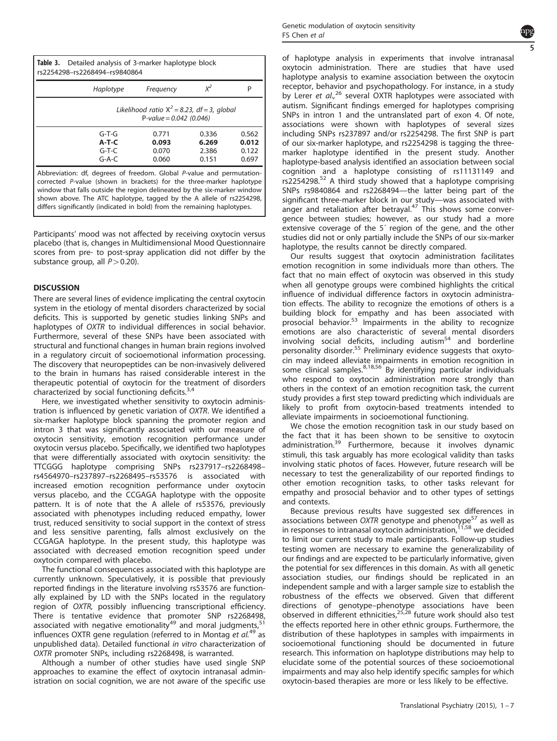<span id="page-4-0"></span>

| <b>Table 3.</b> Detailed analysis of 3-marker haplotype block<br>rs2254298-rs2268494-rs9840864                                                |                                                                             |                                  |                                  |                                  |  |  |
|-----------------------------------------------------------------------------------------------------------------------------------------------|-----------------------------------------------------------------------------|----------------------------------|----------------------------------|----------------------------------|--|--|
|                                                                                                                                               | Haplotype                                                                   | Frequency                        | $X^2$                            | P                                |  |  |
|                                                                                                                                               | Likelihood ratio $X^2 = 8.23$ , df = 3, global<br>P-value = $0.042$ (0.046) |                                  |                                  |                                  |  |  |
|                                                                                                                                               | $G-T-G$<br>$A-T-C$<br>$G-T-C$<br>$G-A-C$                                    | 0.771<br>0.093<br>0.070<br>0.060 | 0.336<br>6.269<br>2.386<br>0.151 | 0.562<br>0.012<br>0.122<br>0.697 |  |  |
| Abbreviation: df, degrees of freedom. Global P-value and permutation-<br>corrected P-value (shown in brackets) for the three-marker haplotype |                                                                             |                                  |                                  |                                  |  |  |

corrected P-value (shown in brackets) for the three-marker haplotype window that falls outside the region delineated by the six-marker window shown above. The ATC haplotype, tagged by the A allele of rs2254298, differs significantly (indicated in bold) from the remaining haplotypes.

Participants' mood was not affected by receiving oxytocin versus placebo (that is, changes in Multidimensional Mood Questionnaire scores from pre- to post-spray application did not differ by the substance group, all  $P > 0.20$ ).

# **DISCUSSION**

There are several lines of evidence implicating the central oxytocin system in the etiology of mental disorders characterized by social deficits. This is supported by genetic studies linking SNPs and haplotypes of OXTR to individual differences in social behavior. Furthermore, several of these SNPs have been associated with structural and functional changes in human brain regions involved in a regulatory circuit of socioemotional information processing. The discovery that neuropeptides can be non-invasively delivered to the brain in humans has raised considerable interest in the therapeutic potential of oxytocin for the treatment of disorders characterized by social functioning deficits.<sup>[3,4](#page-5-0)</sup>

Here, we investigated whether sensitivity to oxytocin administration is influenced by genetic variation of OXTR. We identified a six-marker haplotype block spanning the promoter region and intron 3 that was significantly associated with our measure of oxytocin sensitivity, emotion recognition performance under oxytocin versus placebo. Specifically, we identified two haplotypes that were differentially associated with oxytocin sensitivity: the TTCGGG haplotype comprising SNPs rs237917–rs2268498– rs4564970–rs237897–rs2268495–rs53576 is associated with increased emotion recognition performance under oxytocin versus placebo, and the CCGAGA haplotype with the opposite pattern. It is of note that the A allele of rs53576, previously associated with phenotypes including reduced empathy, lower trust, reduced sensitivity to social support in the context of stress and less sensitive parenting, falls almost exclusively on the CCGAGA haplotype. In the present study, this haplotype was associated with decreased emotion recognition speed under oxytocin compared with placebo.

The functional consequences associated with this haplotype are currently unknown. Speculatively, it is possible that previously reported findings in the literature involving rs53576 are functionally explained by LD with the SNPs located in the regulatory region of OXTR, possibly influencing transcriptional efficiency. There is tentative evidence that promoter SNP rs2268498, associated with negative emotionality $49$  and moral judgments,  $51$ influences OXTR gene regulation (referred to in Montag et  $al$ <sup>[49](#page-6-0)</sup> as unpublished data). Detailed functional in vitro characterization of OXTR promoter SNPs, including rs2268498, is warranted.

Although a number of other studies have used single SNP approaches to examine the effect of oxytocin intranasal administration on social cognition, we are not aware of the specific use



of haplotype analysis in experiments that involve intranasal oxytocin administration. There are studies that have used haplotype analysis to examine association between the oxytocin receptor, behavior and psychopathology. For instance, in a study by Lerer et al.,<sup>[26](#page-5-0)</sup> several OXTR haplotypes were associated with autism. Significant findings emerged for haplotypes comprising SNPs in intron 1 and the untranslated part of exon 4. Of note, associations were shown with haplotypes of several sizes including SNPs rs237897 and/or rs2254298. The first SNP is part of our six-marker haplotype, and rs2254298 is tagging the threemarker haplotype identified in the present study. Another haplotype-based analysis identified an association between social cognition and a haplotype consisting of rs11131149 and  $rs2254298<sup>52</sup>$  $rs2254298<sup>52</sup>$  $rs2254298<sup>52</sup>$  A third study showed that a haplotype comprising SNPs rs9840864 and rs2268494—the latter being part of the significant three-marker block in our study—was associated with anger and retaliation after betrayal.<sup>[47](#page-6-0)</sup> This shows some convergence between studies; however, as our study had a more extensive coverage of the 5´ region of the gene, and the other studies did not or only partially include the SNPs of our six-marker haplotype, the results cannot be directly compared.

Our results suggest that oxytocin administration facilitates emotion recognition in some individuals more than others. The fact that no main effect of oxytocin was observed in this study when all genotype groups were combined highlights the critical influence of individual difference factors in oxytocin administration effects. The ability to recognize the emotions of others is a building block for empathy and has been associated with prosocial behavior.<sup>[53](#page-6-0)</sup> Impairments in the ability to recognize emotions are also characteristic of several mental disorders involving social deficits, including autism $54$  and borderline personality disorder.<sup>[55](#page-6-0)</sup> Preliminary evidence suggests that oxytocin may indeed alleviate impairments in emotion recognition in some clinical samples. $8,18,56$  $8,18,56$  By identifying particular individuals who respond to oxytocin administration more strongly than others in the context of an emotion recognition task, the current study provides a first step toward predicting which individuals are likely to profit from oxytocin-based treatments intended to alleviate impairments in socioemotional functioning.

We chose the emotion recognition task in our study based on the fact that it has been shown to be sensitive to oxytocin administration.<sup>[39](#page-6-0)</sup> Furthermore, because it involves dynamic stimuli, this task arguably has more ecological validity than tasks involving static photos of faces. However, future research will be necessary to test the generalizability of our reported findings to other emotion recognition tasks, to other tasks relevant for empathy and prosocial behavior and to other types of settings and contexts.

Because previous results have suggested sex differences in associations between OXTR genotype and phenotype<sup>[57](#page-6-0)</sup> as well as in responses to intranasal oxytocin administration, [11](#page-5-0)[,58](#page-6-0) we decided to limit our current study to male participants. Follow-up studies testing women are necessary to examine the generalizability of our findings and are expected to be particularly informative, given the potential for sex differences in this domain. As with all genetic association studies, our findings should be replicated in an independent sample and with a larger sample size to establish the robustness of the effects we observed. Given that different directions of genotype–phenotype associations have been observed in different ethnicities,<sup>[25,28](#page-5-0)</sup> future work should also test the effects reported here in other ethnic groups. Furthermore, the distribution of these haplotypes in samples with impairments in socioemotional functioning should be documented in future research. This information on haplotype distributions may help to elucidate some of the potential sources of these socioemotional impairments and may also help identify specific samples for which oxytocin-based therapies are more or less likely to be effective.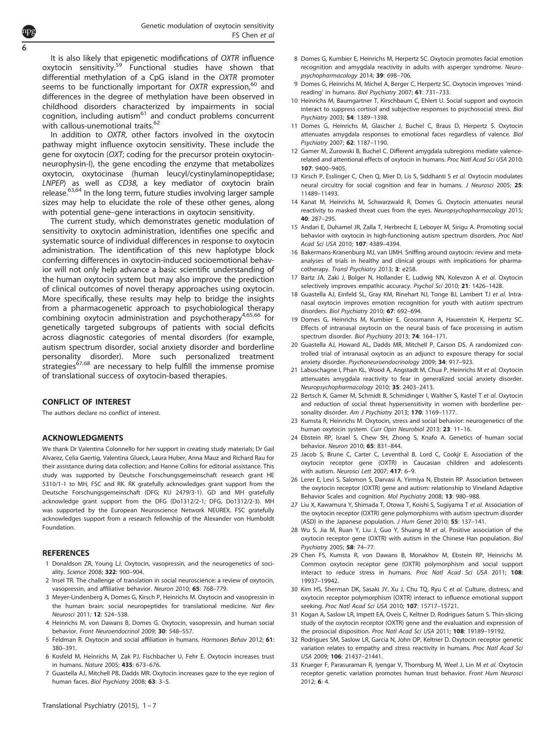<span id="page-5-0"></span>It is also likely that epigenetic modifications of OXTR influence oxytocin sensitivity.[59](#page-6-0) Functional studies have shown that differential methylation of a CpG island in the OXTR promoter seems to be functionally important for OXTR expression.<sup>[60](#page-6-0)</sup> and differences in the degree of methylation have been observed in childhood disorders characterized by impairments in social cognition, including autism $61$  and conduct problems concurrent with callous-unemotional traits.<sup>[62](#page-6-0)</sup>

In addition to OXTR, other factors involved in the oxytocin pathway might influence oxytocin sensitivity. These include the gene for oxytocin (OXT; coding for the precursor protein oxytocinneurophysin-I), the gene encoding the enzyme that metabolizes oxytocin, oxytocinase (human leucyl/cystinylaminopeptidase; LNPEP) as well as CD38, a key mediator of oxytocin brain release.<sup>[63](#page-6-0),[64](#page-6-0)</sup> In the long term, future studies involving larger sample sizes may help to elucidate the role of these other genes, along with potential gene–gene interactions in oxytocin sensitivity.

The current study, which demonstrates genetic modulation of sensitivity to oxytocin administration, identifies one specific and systematic source of individual differences in response to oxytocin administration. The identification of this new haplotype block conferring differences in oxytocin-induced socioemotional behavior will not only help advance a basic scientific understanding of the human oxytocin system but may also improve the prediction of clinical outcomes of novel therapy approaches using oxytocin. More specifically, these results may help to bridge the insights from a pharmacogenetic approach to psychobiological therapy combining oxytocin administration and psychotherapy<sup>4,[65](#page-6-0),[66](#page-6-0)</sup> for genetically targeted subgroups of patients with social deficits across diagnostic categories of mental disorders (for example, autism spectrum disorder, social anxiety disorder and borderline personality disorder). More such personalized treatment strategies<sup>67,[68](#page-6-0)</sup> are necessary to help fulfill the immense promise of translational success of oxytocin-based therapies.

## CONFLICT OF INTEREST

The authors declare no conflict of interest.

# **ACKNOWLEDGMENTS**

We thank Dr Valentina Colonnello for her support in creating study materials; Dr Gail Alvarez, Celia Gaertig, Valentina Glueck, Laura Huber, Anna Mauz and Richard Rau for their assistance during data collection; and Hanne Collins for editorial assistance. This study was supported by Deutsche Forschungsgemeinschaft research grant HE 5310/1-1 to MH, FSC and RK. RK gratefully acknowledges grant support from the Deutsche Forschungsgemeinschaft (DFG; KU 2479/3-1). GD and MH gratefully acknowledge grant support from the DFG (Do1312/2-1; DFG, Do1312/2-3). MH was supported by the European Neuroscience Network NEUREX. FSC gratefully acknowledges support from a research fellowship of the Alexander von Humboldt Foundation.

## **REFERENCES**

- 1 Donaldson ZR, Young LJ. Oxytocin, vasopressin, and the neurogenetics of sociality. Science 2008; 322: 900–904.
- 2 Insel TR. The challenge of translation in social neuroscience: a review of oxytocin, vasopressin, and affiliative behavior. Neuron 2010; 65: 768–779.
- 3 Meyer-Lindenberg A, Domes G, Kirsch P, Heinrichs M. Oxytocin and vasopressin in the human brain: social neuropeptides for translational medicine. Nat Rev Neurosci 2011; 12: 524–538.
- 4 Heinrichs M, von Dawans B, Domes G. Oxytocin, vasopressin, and human social behavior. Front Neuroendocrinol 2009; 30: 548-557.
- 5 Feldman R. Oxytocin and social affiliation in humans. Hormones Behav 2012; 61: 380–391.
- 6 Kosfeld M, Heinrichs M, Zak PJ, Fischbacher U, Fehr E. Oxytocin increases trust in humans. Nature 2005; 435: 673–676.
- 7 Guastella AJ, Mitchell PB, Dadds MR. Oxytocin increases gaze to the eye region of human faces. Biol Psychiatry 2008; 63: 3-5.
- 8 Domes G, Kumbier E, Heinrichs M, Herpertz SC. Oxytocin promotes facial emotion recognition and amygdala reactivity in adults with asperger syndrome. Neuropsychopharmacology 2014; 39: 698–706.
- 9 Domes G, Heinrichs M, Michel A, Berger C, Herpertz SC. Oxytocin improves 'mindreading' in humans. Biol Psychiatry 2007; 61: 731–733.
- 10 Heinrichs M, Baumgartner T, Kirschbaum C, Ehlert U. Social support and oxytocin interact to suppress cortisol and subjective responses to psychosocial stress. Biol Psychiatry 2003; 54: 1389–1398.
- 11 Domes G, Heinrichs M, Glascher J, Buchel C, Braus D, Herpertz S. Oxytocin attenuates amygdala responses to emotional faces regardless of valence. Biol Psychiatry 2007; 62: 1187–1190.
- 12 Gamer M, Zurowski B, Buchel C. Different amygdala subregions mediate valencerelated and attentional effects of oxytocin in humans. Proc Natl Acad Sci USA 2010; 107: 9400–9405.
- 13 Kirsch P, Esslinger C, Chen Q, Mier D, Lis S, Siddhanti S et al. Oxytocin modulates neural circuitry for social cognition and fear in humans. J Neurosci 2005; 25: 11489–11493.
- 14 Kanat M, Heinrichs M, Schwarzwald R, Domes G. Oxytocin attenuates neural reactivity to masked threat cues from the eyes. Neuropsychopharmacology 2015;  $40.287 - 295$
- 15 Andari E, Duhamel JR, Zalla T, Herbrecht E, Leboyer M, Sirigu A. Promoting social behavior with oxytocin in high-functioning autism spectrum disorders. Proc Natl Acad Sci USA 2010; 107: 4389–4394.
- 16 Bakermans-Kranenburg MJ, van IJMH. Sniffing around oxytocin: review and metaanalyses of trials in healthy and clinical groups with implications for pharmacotherapy. Transl Psychiatry 2013; 3: e258.
- 17 Bartz JA, Zaki J, Bolger N, Hollander E, Ludwig NN, Kolevzon A et al. Oxytocin selectively improves empathic accuracy. Psychol Sci 2010; 21: 1426-1428
- 18 Guastella AJ, Einfeld SL, Gray KM, Rinehart NJ, Tonge BJ, Lambert TJ et al. Intranasal oxytocin improves emotion recognition for youth with autism spectrum disorders. Biol Psychiatry 2010; 67: 692–694.
- 19 Domes G, Heinrichs M, Kumbier E, Grossmann A, Hauenstein K, Herpertz SC. Effects of intranasal oxytocin on the neural basis of face processing in autism spectrum disorder. Biol Psychiatry 2013; 74: 164–171.
- 20 Guastella AJ, Howard AL, Dadds MR, Mitchell P, Carson DS. A randomized controlled trial of intranasal oxytocin as an adjunct to exposure therapy for social anxiety disorder. Psychoneuroendocrinology 2009; 34: 917–923.
- 21 Labuschagne I, Phan KL, Wood A, Angstadt M, Chua P, Heinrichs M et al. Oxytocin attenuates amygdala reactivity to fear in generalized social anxiety disorder. Neuropsychopharmacology 2010; 35: 2403–2413.
- 22 Bertsch K, Gamer M, Schmidt B, Schmidinger I, Walther S, Kastel T et al. Oxytocin and reduction of social threat hypersensitivity in women with borderline personality disorder. Am J Psychiatry 2013; 170: 1169-1177.
- 23 Kumsta R, Heinrichs M. Oxytocin, stress and social behavior: neurogenetics of the human oxytocin system. Curr Opin Neurobiol 2013; 23: 11-16.
- 24 Ebstein RP, Israel S, Chew SH, Zhong S, Knafo A. Genetics of human social behavior. Neuron 2010; 65: 831–844.
- 25 Jacob S, Brune C, Carter C, Leventhal B, Lord C, Cookjr E. Association of the oxytocin receptor gene (OXTR) in Caucasian children and adolescents with autism. Neurosci Lett 2007; 417: 6–9.
- 26 Lerer E, Levi S, Salomon S, Darvasi A, Yirmiya N, Ebstein RP. Association between the oxytocin receptor (OXTR) gene and autism: relationship to Vineland Adaptive Behavior Scales and cognition. Mol Psychiatry 2008; 13: 980–988.
- 27 Liu X, Kawamura Y, Shimada T, Otowa T, Koishi S, Sugiyama T et al. Association of the oxytocin receptor (OXTR) gene polymorphisms with autism spectrum disorder (ASD) in the Japanese population. J Hum Genet 2010; 55: 137–141.
- 28 Wu S, Jia M, Ruan Y, Liu J, Guo Y, Shuang M et al. Positive association of the oxytocin receptor gene (OXTR) with autism in the Chinese Han population. Biol Psychiatry 2005; 58: 74–77.
- 29 Chen FS, Kumsta R, von Dawans B, Monakhov M, Ebstein RP, Heinrichs M. Common oxytocin receptor gene (OXTR) polymorphism and social support interact to reduce stress in humans. Proc Natl Acad Sci USA 2011; 108: 19937–19942.
- 30 Kim HS, Sherman DK, Sasaki JY, Xu J, Chu TQ, Ryu C et al. Culture, distress, and oxytocin receptor polymorphism (OXTR) interact to influence emotional support seeking. Proc Natl Acad Sci USA 2010; 107: 15717–15721.
- 31 Kogan A, Saslow LR, Impett EA, Oveis C, Keltner D, Rodrigues Saturn S. Thin-slicing study of the oxytocin receptor (OXTR) gene and the evaluation and expression of the prosocial disposition. Proc Natl Acad Sci USA 2011; 108: 19189–19192.
- 32 Rodrigues SM, Saslow LR, Garcia N, John OP, Keltner D. Oxytocin receptor genetic variation relates to empathy and stress reactivity in humans. Proc Natl Acad Sci USA 2009; 106: 21437–21441.
- 33 Krueger F, Parasuraman R, Iyengar V, Thornburg M, Weel J, Lin M et al. Oxytocin receptor genetic variation promotes human trust behavior. Front Hum Neurosci 2012; 6: 4.